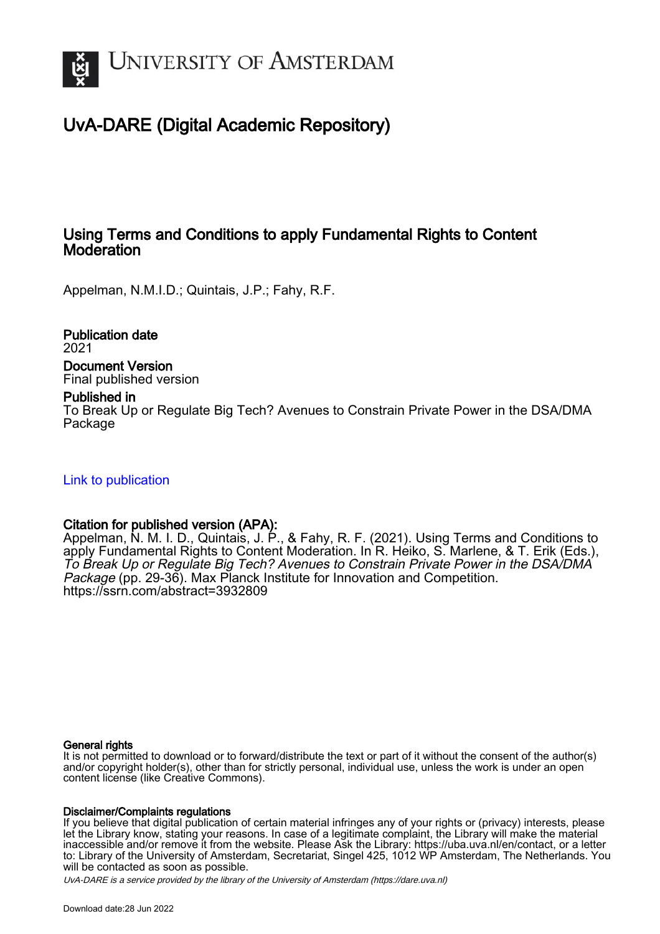

## UvA-DARE (Digital Academic Repository)

## Using Terms and Conditions to apply Fundamental Rights to Content **Moderation**

Appelman, N.M.I.D.; Quintais, J.P.; Fahy, R.F.

Publication date 2021 Document Version Final published version

### Published in

To Break Up or Regulate Big Tech? Avenues to Constrain Private Power in the DSA/DMA Package

[Link to publication](https://dare.uva.nl/personal/pure/en/publications/using-terms-and-conditions-to-apply-fundamental-rights-to-content-moderation(c60b1d5e-6ff4-4d6c-a3c6-8f431b8242b5).html)

### Citation for published version (APA):

Appelman, N. M. I. D., Quintais, J. P., & Fahy, R. F. (2021). Using Terms and Conditions to apply Fundamental Rights to Content Moderation. In R. Heiko, S. Marlene, & T. Erik (Eds.), To Break Up or Regulate Big Tech? Avenues to Constrain Private Power in the DSA/DMA Package (pp. 29-36). Max Planck Institute for Innovation and Competition. <https://ssrn.com/abstract=3932809>

#### General rights

It is not permitted to download or to forward/distribute the text or part of it without the consent of the author(s) and/or copyright holder(s), other than for strictly personal, individual use, unless the work is under an open content license (like Creative Commons).

### Disclaimer/Complaints regulations

If you believe that digital publication of certain material infringes any of your rights or (privacy) interests, please let the Library know, stating your reasons. In case of a legitimate complaint, the Library will make the material inaccessible and/or remove it from the website. Please Ask the Library: https://uba.uva.nl/en/contact, or a letter to: Library of the University of Amsterdam, Secretariat, Singel 425, 1012 WP Amsterdam, The Netherlands. You will be contacted as soon as possible.

UvA-DARE is a service provided by the library of the University of Amsterdam (http*s*://dare.uva.nl)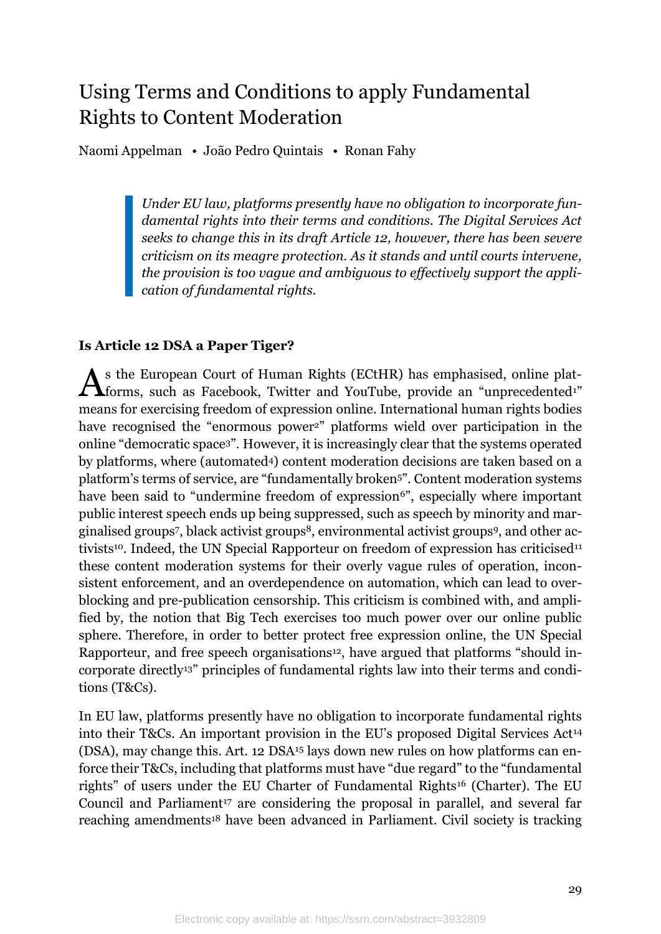# Using Terms and Conditions to apply Fundamental Rights to Content Moderation

Naomi Appelman • João Pedro Quintais • Ronan Fahy

*Under EU law, platforms presently have no obligation to incorporate fundamental rights into their terms and conditions. The Digital Services Act seeks to change this in its draft Article 12, however, there has been severe criticism on its meagre protection. As it stands and until courts intervene, the provision is too vague and ambiguous to effectively support the application of fundamental rights.*

### **Is Article 12 DSA a Paper Tiger?**

s the European Court of Human Rights (ECtHR) has emphasised, online plat-As the European Court of Human Rights (ECtHR) has emphasised, online plat-<br>forms, such as Facebook, Twitter and YouTube, provide an "unprecedented<sup>1"</sup> means for exercising freedom of expression online. International human rights bodies have recognised the "enormous power<sup>2</sup>" platforms wield over participation in the online "democratic space3". However, it is increasingly clear that the systems operated by platforms, where (automated4) content moderation decisions are taken based on a platform's terms of service, are "fundamentally broken5". Content moderation systems have been said to "undermine freedom of expression<sup>6"</sup>, especially where important public interest speech ends up being suppressed, such as speech by minority and marginalised groups7, black activist groups8, environmental activist groups9, and other activists<sup>10</sup>. Indeed, the UN Special Rapporteur on freedom of expression has criticised<sup>11</sup> these content moderation systems for their overly vague rules of operation, inconsistent enforcement, and an overdependence on automation, which can lead to overblocking and pre-publication censorship. This criticism is combined with, and amplified by, the notion that Big Tech exercises too much power over our online public sphere. Therefore, in order to better protect free expression online, the UN Special Rapporteur, and free speech organisations<sup>12</sup>, have argued that platforms "should incorporate directly13" principles of fundamental rights law into their terms and conditions (T&Cs).

In EU law, platforms presently have no obligation to incorporate fundamental rights into their T&Cs. An important provision in the EU's proposed Digital Services Act<sup>14</sup> (DSA), may change this. Art. 12 DSA<sup>15</sup> lays down new rules on how platforms can enforce their T&Cs, including that platforms must have "due regard" to the "fundamental rights" of users under the EU Charter of Fundamental Rights<sup>16</sup> (Charter). The EU Council and Parliament<sup>17</sup> are considering the proposal in parallel, and several far reaching amendments<sup>18</sup> have been advanced in Parliament. Civil society is tracking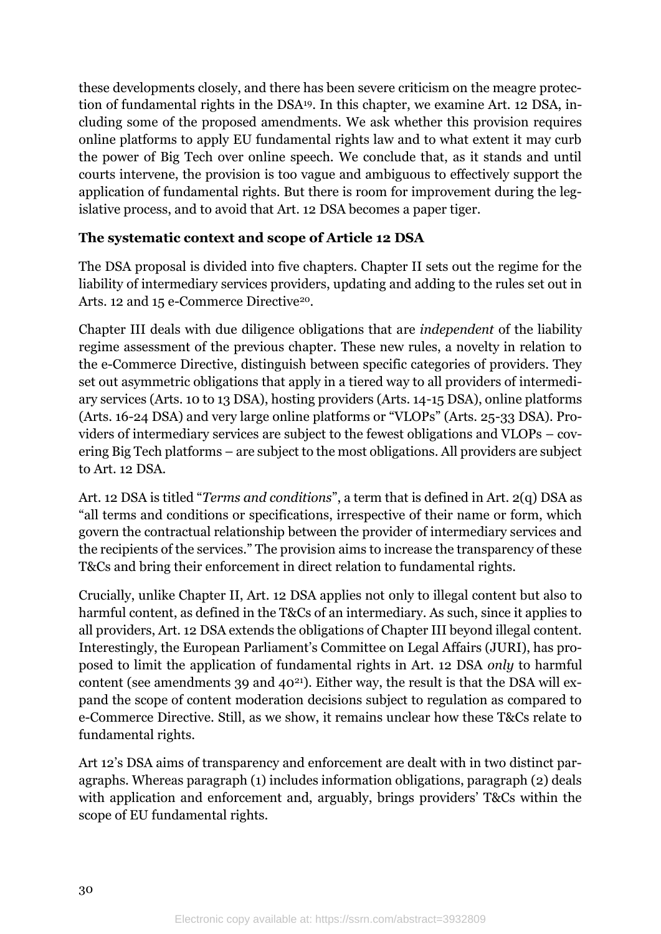these developments closely, and there has been severe criticism on the meagre protection of fundamental rights in the DSA19. In this chapter, we examine Art. 12 DSA, including some of the proposed amendments. We ask whether this provision requires online platforms to apply EU fundamental rights law and to what extent it may curb the power of Big Tech over online speech. We conclude that, as it stands and until courts intervene, the provision is too vague and ambiguous to effectively support the application of fundamental rights. But there is room for improvement during the legislative process, and to avoid that Art. 12 DSA becomes a paper tiger.

### **The systematic context and scope of Article 12 DSA**

The DSA proposal is divided into five chapters. Chapter II sets out the regime for the liability of intermediary services providers, updating and adding to the rules set out in Arts. 12 and 15 e-Commerce Directive<sup>20</sup>.

Chapter III deals with due diligence obligations that are *independent* of the liability regime assessment of the previous chapter. These new rules, a novelty in relation to the e-Commerce Directive, distinguish between specific categories of providers. They set out asymmetric obligations that apply in a tiered way to all providers of intermediary services (Arts. 10 to 13 DSA), hosting providers (Arts. 14-15 DSA), online platforms (Arts. 16-24 DSA) and very large online platforms or "VLOPs" (Arts. 25-33 DSA). Providers of intermediary services are subject to the fewest obligations and VLOPs – covering Big Tech platforms – are subject to the most obligations. All providers are subject to Art. 12 DSA.

Art. 12 DSA is titled "*Terms and conditions*", a term that is defined in Art. 2(q) DSA as "all terms and conditions or specifications, irrespective of their name or form, which govern the contractual relationship between the provider of intermediary services and the recipients of the services." The provision aims to increase the transparency of these T&Cs and bring their enforcement in direct relation to fundamental rights.

Crucially, unlike Chapter II, Art. 12 DSA applies not only to illegal content but also to harmful content, as defined in the T&Cs of an intermediary. As such, since it applies to all providers, Art. 12 DSA extends the obligations of Chapter III beyond illegal content. Interestingly, the European Parliament's Committee on Legal Affairs (JURI), has proposed to limit the application of fundamental rights in Art. 12 DSA *only* to harmful content (see amendments 39 and  $40^{21}$ ). Either way, the result is that the DSA will expand the scope of content moderation decisions subject to regulation as compared to e-Commerce Directive. Still, as we show, it remains unclear how these T&Cs relate to fundamental rights.

Art 12's DSA aims of transparency and enforcement are dealt with in two distinct paragraphs. Whereas paragraph (1) includes information obligations, paragraph (2) deals with application and enforcement and, arguably, brings providers' T&Cs within the scope of EU fundamental rights.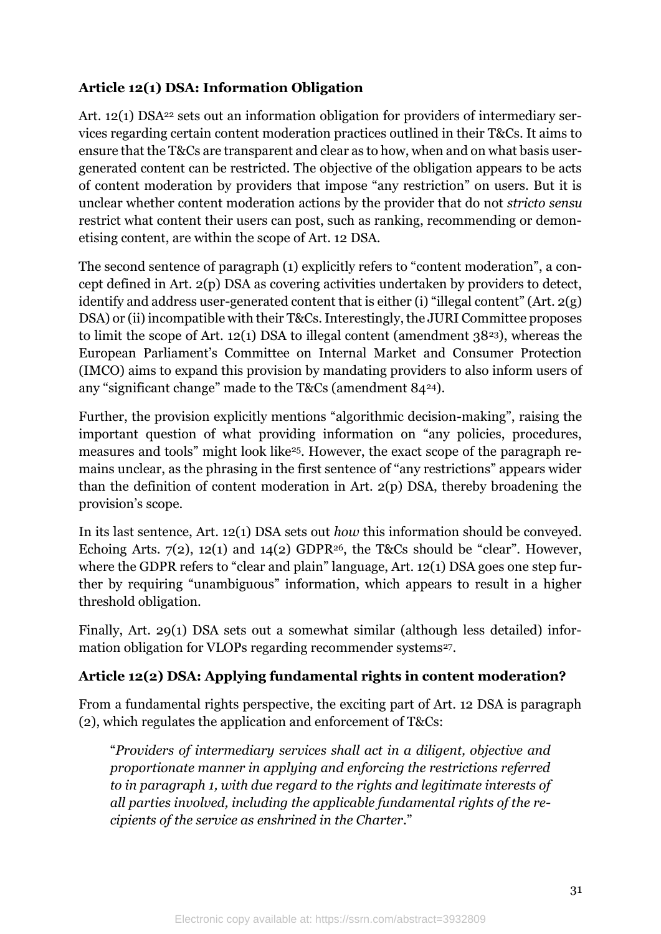## **Article 12(1) DSA: Information Obligation**

Art. 12(1) DSA<sup>22</sup> sets out an information obligation for providers of intermediary services regarding certain content moderation practices outlined in their T&Cs. It aims to ensure that the T&Cs are transparent and clear as to how, when and on what basis usergenerated content can be restricted. The objective of the obligation appears to be acts of content moderation by providers that impose "any restriction" on users. But it is unclear whether content moderation actions by the provider that do not *stricto sensu*  restrict what content their users can post, such as ranking, recommending or demonetising content, are within the scope of Art. 12 DSA.

The second sentence of paragraph (1) explicitly refers to "content moderation", a concept defined in Art. 2(p) DSA as covering activities undertaken by providers to detect, identify and address user-generated content that is either (i) "illegal content" (Art. 2(g) DSA) or (ii) incompatible with their T&Cs. Interestingly, the JURI Committee proposes to limit the scope of Art. 12(1) DSA to illegal content (amendment 3823), whereas the European Parliament's Committee on Internal Market and Consumer Protection (IMCO) aims to expand this provision by mandating providers to also inform users of any "significant change" made to the T&Cs (amendment 8424).

Further, the provision explicitly mentions "algorithmic decision-making", raising the important question of what providing information on "any policies, procedures, measures and tools" might look like25. However, the exact scope of the paragraph remains unclear, as the phrasing in the first sentence of "any restrictions" appears wider than the definition of content moderation in Art. 2(p) DSA, thereby broadening the provision's scope.

In its last sentence, Art. 12(1) DSA sets out *how* this information should be conveyed. Echoing Arts.  $7(2)$ , 12(1) and 14(2) GDPR<sup>26</sup>, the T&Cs should be "clear". However, where the GDPR refers to "clear and plain" language, Art. 12(1) DSA goes one step further by requiring "unambiguous" information, which appears to result in a higher threshold obligation.

Finally, Art. 29(1) DSA sets out a somewhat similar (although less detailed) information obligation for VLOPs regarding recommender systems<sup>27</sup>.

## **Article 12(2) DSA: Applying fundamental rights in content moderation?**

From a fundamental rights perspective, the exciting part of Art. 12 DSA is paragraph (2), which regulates the application and enforcement of T&Cs:

"*Providers of intermediary services shall act in a diligent, objective and proportionate manner in applying and enforcing the restrictions referred to in paragraph 1, with due regard to the rights and legitimate interests of all parties involved, including the applicable fundamental rights of the recipients of the service as enshrined in the Charter*."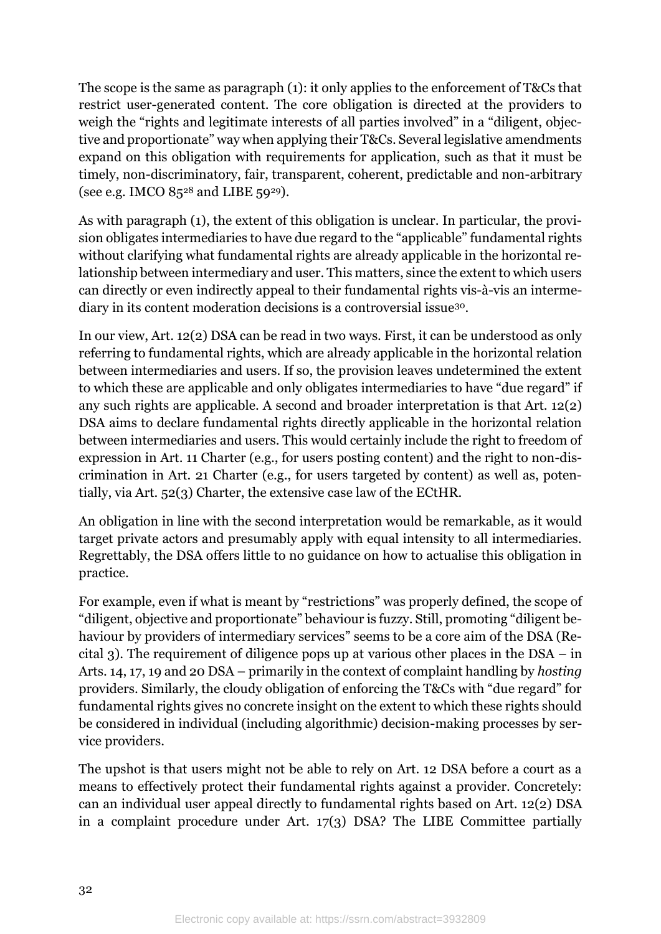The scope is the same as paragraph (1): it only applies to the enforcement of T&Cs that restrict user-generated content. The core obligation is directed at the providers to weigh the "rights and legitimate interests of all parties involved" in a "diligent, objective and proportionate" way when applying their T&Cs. Several legislative amendments expand on this obligation with requirements for application, such as that it must be timely, non-discriminatory, fair, transparent, coherent, predictable and non-arbitrary (see e.g. IMCO  $85^{28}$  and LIBE 59<sup>29</sup>).

As with paragraph (1), the extent of this obligation is unclear. In particular, the provision obligates intermediaries to have due regard to the "applicable" fundamental rights without clarifying what fundamental rights are already applicable in the horizontal relationship between intermediary and user. This matters, since the extent to which users can directly or even indirectly appeal to their fundamental rights vis-à-vis an intermediary in its content moderation decisions is a controversial issue30.

In our view, Art. 12(2) DSA can be read in two ways. First, it can be understood as only referring to fundamental rights, which are already applicable in the horizontal relation between intermediaries and users. If so, the provision leaves undetermined the extent to which these are applicable and only obligates intermediaries to have "due regard" if any such rights are applicable. A second and broader interpretation is that Art. 12(2) DSA aims to declare fundamental rights directly applicable in the horizontal relation between intermediaries and users. This would certainly include the right to freedom of expression in Art. 11 Charter (e.g., for users posting content) and the right to non-discrimination in Art. 21 Charter (e.g., for users targeted by content) as well as, potentially, via Art. 52(3) Charter, the extensive case law of the ECtHR.

An obligation in line with the second interpretation would be remarkable, as it would target private actors and presumably apply with equal intensity to all intermediaries. Regrettably, the DSA offers little to no guidance on how to actualise this obligation in practice.

For example, even if what is meant by "restrictions" was properly defined, the scope of "diligent, objective and proportionate" behaviour is fuzzy. Still, promoting "diligent behaviour by providers of intermediary services" seems to be a core aim of the DSA (Recital 3). The requirement of diligence pops up at various other places in the DSA – in Arts. 14, 17, 19 and 20 DSA – primarily in the context of complaint handling by *hosting* providers. Similarly, the cloudy obligation of enforcing the T&Cs with "due regard" for fundamental rights gives no concrete insight on the extent to which these rights should be considered in individual (including algorithmic) decision-making processes by service providers.

The upshot is that users might not be able to rely on Art. 12 DSA before a court as a means to effectively protect their fundamental rights against a provider. Concretely: can an individual user appeal directly to fundamental rights based on Art. 12(2) DSA in a complaint procedure under Art. 17(3) DSA? The LIBE Committee partially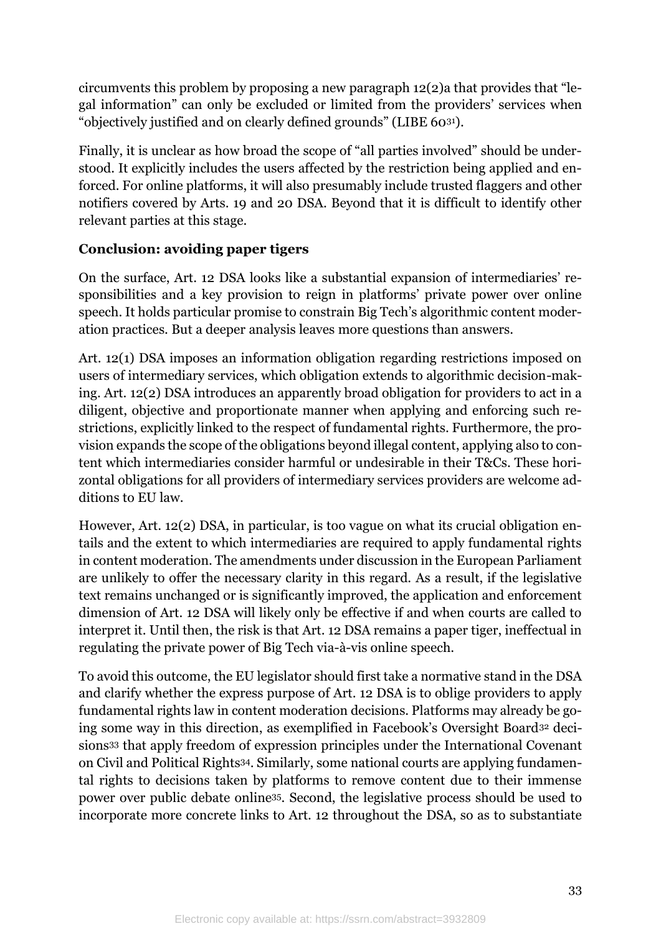circumvents this problem by proposing a new paragraph 12(2)a that provides that "legal information" can only be excluded or limited from the providers' services when "objectively justified and on clearly defined grounds" (LIBE 6031).

Finally, it is unclear as how broad the scope of "all parties involved" should be understood. It explicitly includes the users affected by the restriction being applied and enforced. For online platforms, it will also presumably include trusted flaggers and other notifiers covered by Arts. 19 and 20 DSA. Beyond that it is difficult to identify other relevant parties at this stage.

## **Conclusion: avoiding paper tigers**

On the surface, Art. 12 DSA looks like a substantial expansion of intermediaries' responsibilities and a key provision to reign in platforms' private power over online speech. It holds particular promise to constrain Big Tech's algorithmic content moderation practices. But a deeper analysis leaves more questions than answers.

Art. 12(1) DSA imposes an information obligation regarding restrictions imposed on users of intermediary services, which obligation extends to algorithmic decision-making. Art. 12(2) DSA introduces an apparently broad obligation for providers to act in a diligent, objective and proportionate manner when applying and enforcing such restrictions, explicitly linked to the respect of fundamental rights. Furthermore, the provision expands the scope of the obligations beyond illegal content, applying also to content which intermediaries consider harmful or undesirable in their T&Cs. These horizontal obligations for all providers of intermediary services providers are welcome additions to EU law.

However, Art. 12(2) DSA, in particular, is too vague on what its crucial obligation entails and the extent to which intermediaries are required to apply fundamental rights in content moderation. The amendments under discussion in the European Parliament are unlikely to offer the necessary clarity in this regard. As a result, if the legislative text remains unchanged or is significantly improved, the application and enforcement dimension of Art. 12 DSA will likely only be effective if and when courts are called to interpret it. Until then, the risk is that Art. 12 DSA remains a paper tiger, ineffectual in regulating the private power of Big Tech via-à-vis online speech.

To avoid this outcome, the EU legislator should first take a normative stand in the DSA and clarify whether the express purpose of Art. 12 DSA is to oblige providers to apply fundamental rights law in content moderation decisions. Platforms may already be going some way in this direction, as exemplified in Facebook's Oversight Board<sup>32</sup> decisions<sup>33</sup> that apply freedom of expression principles under the International Covenant on Civil and Political Rights34. Similarly, some national courts are applying fundamental rights to decisions taken by platforms to remove content due to their immense power over public debate online35. Second, the legislative process should be used to incorporate more concrete links to Art. 12 throughout the DSA, so as to substantiate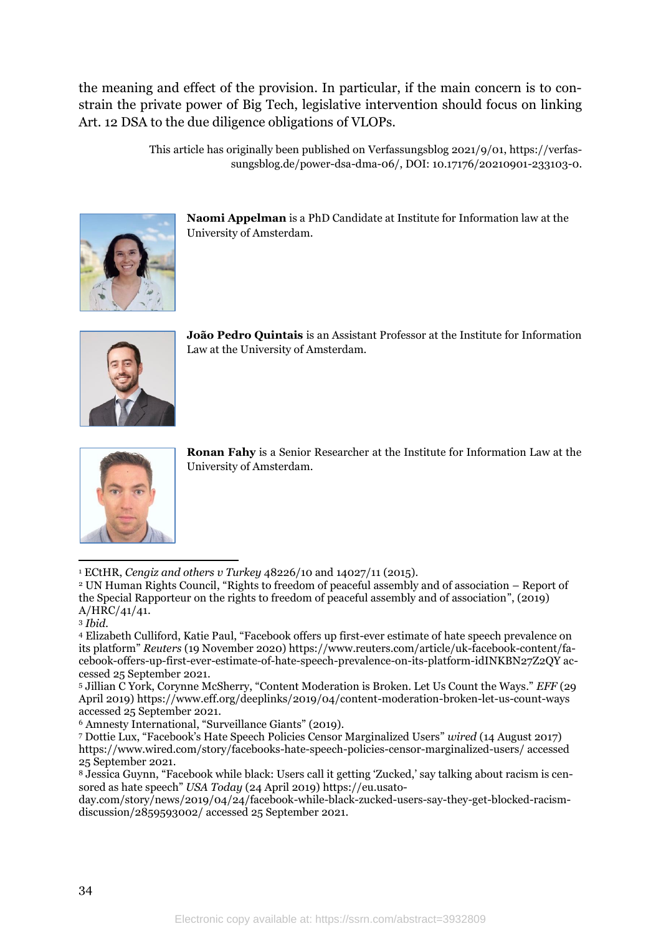the meaning and effect of the provision. In particular, if the main concern is to constrain the private power of Big Tech, legislative intervention should focus on linking Art. 12 DSA to the due diligence obligations of VLOPs.

> This article has originally been published on Verfassungsblog 2021/9/01, [https://verfas](https://verfassungsblog.de/power-dsa-dma-06/)[sungsblog.de/power-dsa-dma-06/,](https://verfassungsblog.de/power-dsa-dma-06/) DOI: 10.17176/20210901-233103-0.



**Naomi Appelman** is a PhD Candidate at Institute for Information law at the University of Amsterdam.



**João Pedro Quintais** is an Assistant Professor at the Institute for Information Law at the University of Amsterdam.



**Ronan Fahy** is a Senior Researcher at the Institute for Information Law at the University of Amsterdam.

<sup>1</sup> ECtHR, *Cengiz and others v Turkey* 48226/10 and 14027/11 (2015).

<sup>2</sup> UN Human Rights Council, "Rights to freedom of peaceful assembly and of association – Report of the Special Rapporteur on the rights to freedom of peaceful assembly and of association", (2019) A/HRC/41/41.

<sup>4</sup> Elizabeth Culliford, Katie Paul, "Facebook offers up first-ever estimate of hate speech prevalence on its platform" *Reuters* (19 November 2020) [https://www.reuters.com/article/uk-facebook-content/fa](https://www.reuters.com/article/uk-facebook-content/facebook-offers-up-first-ever-estimate-of-hate-speech-prevalence-on-its-platform-idINKBN27Z2QY)[cebook-offers-up-first-ever-estimate-of-hate-speech-prevalence-on-its-platform-idINKBN27Z2QY](https://www.reuters.com/article/uk-facebook-content/facebook-offers-up-first-ever-estimate-of-hate-speech-prevalence-on-its-platform-idINKBN27Z2QY) accessed 25 September 2021.

<sup>5</sup> Jillian C York, Corynne McSherry, "Content Moderation is Broken. Let Us Count the Ways." *EFF* (29 April 2019) <https://www.eff.org/deeplinks/2019/04/content-moderation-broken-let-us-count-ways> accessed 25 September 2021.

<sup>6</sup> Amnesty International, "Surveillance Giants" (2019).

<sup>7</sup> Dottie Lux, "Facebook's Hate Speech Policies Censor Marginalized Users" *wired* (14 August 2017) <https://www.wired.com/story/facebooks-hate-speech-policies-censor-marginalized-users/> accessed 25 September 2021.

<sup>8</sup> Jessica Guynn, "Facebook while black: Users call it getting 'Zucked,' say talking about racism is censored as hate speech" *USA Today* (24 April 2019) [https://eu.usato-](https://eu.usatoday.com/story/news/2019/04/24/facebook-while-black-zucked-users-say-they-get-blocked-racism-discussion/2859593002/)

[day.com/story/news/2019/04/24/facebook-while-black-zucked-users-say-they-get-blocked-racism](https://eu.usatoday.com/story/news/2019/04/24/facebook-while-black-zucked-users-say-they-get-blocked-racism-discussion/2859593002/)[discussion/2859593002/](https://eu.usatoday.com/story/news/2019/04/24/facebook-while-black-zucked-users-say-they-get-blocked-racism-discussion/2859593002/) accessed 25 September 2021.

<sup>3</sup> *Ibid.*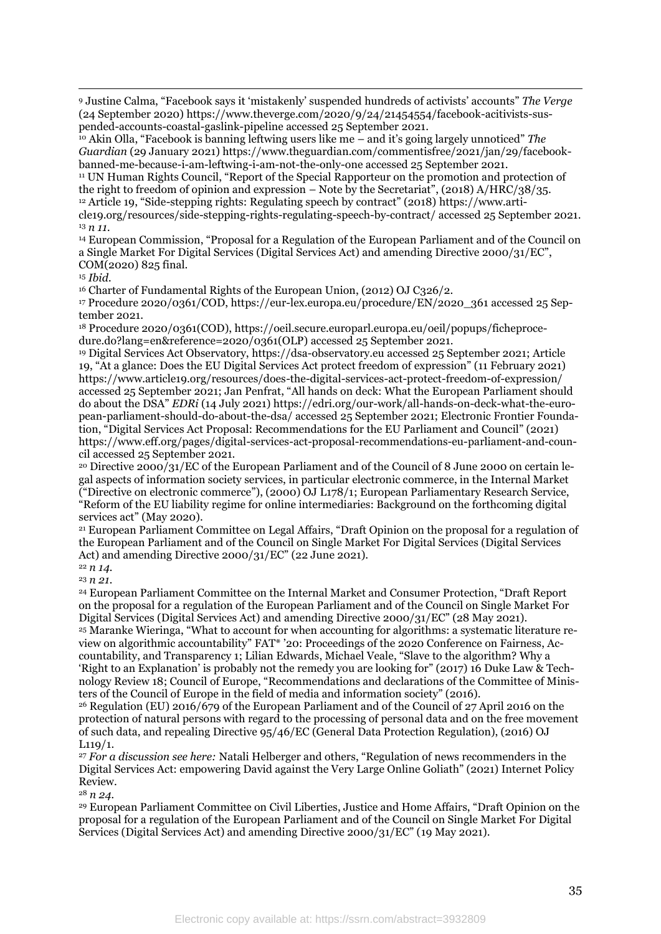<sup>9</sup> Justine Calma, "Facebook says it 'mistakenly' suspended hundreds of activists' accounts" *The Verge*  (24 September 2020) [https://www.theverge.com/2020/9/24/21454554/facebook-acitivists-sus](https://www.theverge.com/2020/9/24/21454554/facebook-acitivists-suspended-accounts-coastal-gaslink-pipeline)[pended-accounts-coastal-gaslink-pipeline](https://www.theverge.com/2020/9/24/21454554/facebook-acitivists-suspended-accounts-coastal-gaslink-pipeline) accessed 25 September 2021.

<sup>10</sup> Akin Olla, "Facebook is banning leftwing users like me – and it's going largely unnoticed" *The Guardian* (29 January 2021[\) https://www.theguardian.com/commentisfree/2021/jan/29/facebook](https://www.theguardian.com/commentisfree/2021/jan/29/facebook-banned-me-because-i-am-leftwing-i-am-not-the-only-one)[banned-me-because-i-am-leftwing-i-am-not-the-only-one](https://www.theguardian.com/commentisfree/2021/jan/29/facebook-banned-me-because-i-am-leftwing-i-am-not-the-only-one) accessed 25 September 2021.

<sup>11</sup> UN Human Rights Council, "Report of the Special Rapporteur on the promotion and protection of the right to freedom of opinion and expression – Note by the Secretariat", (2018) A/HRC/38/35. <sup>12</sup> Article 19, "Side-stepping rights: Regulating speech by contract" (2018) [https://www.arti-](https://www.article19.org/resources/side-stepping-rights-regulating-speech-by-contract/)

[cle19.org/resources/side-stepping-rights-regulating-speech-by-contract/](https://www.article19.org/resources/side-stepping-rights-regulating-speech-by-contract/) accessed 25 September 2021. <sup>13</sup> *n 11.*

<sup>14</sup> European Commission, "Proposal for a Regulation of the European Parliament and of the Council on a Single Market For Digital Services (Digital Services Act) and amending Directive 2000/31/EC", COM(2020) 825 final.

<sup>15</sup> *Ibid.*

<sup>16</sup> Charter of Fundamental Rights of the European Union, (2012) OJ C326/2.

<sup>17</sup> Procedure 2020/0361/COD, [https://eur-lex.europa.eu/procedure/EN/2020\\_361](https://eur-lex.europa.eu/procedure/EN/2020_361) accessed 25 September 2021.

<sup>18</sup> Procedure 2020/0361(COD), [https://oeil.secure.europarl.europa.eu/oeil/popups/ficheproce](https://oeil.secure.europarl.europa.eu/oeil/popups/ficheprocedure.do?lang=en&reference=2020/0361(OLP))[dure.do?lang=en&reference=2020/0361\(OLP\)](https://oeil.secure.europarl.europa.eu/oeil/popups/ficheprocedure.do?lang=en&reference=2020/0361(OLP)) accessed 25 September 2021.

<sup>19</sup> Digital Services Act Observatory, [https://dsa-observatory.eu](https://dsa-observatory.eu/) accessed 25 September 2021; Article 19, "At a glance: Does the EU Digital Services Act protect freedom of expression" (11 February 2021) <https://www.article19.org/resources/does-the-digital-services-act-protect-freedom-of-expression/> accessed 25 September 2021; Jan Penfrat, "All hands on deck: What the European Parliament should do about the DSA" *EDRi* (14 July 2021) [https://edri.org/our-work/all-hands-on-deck-what-the-euro](https://edri.org/our-work/all-hands-on-deck-what-the-european-parliament-should-do-about-the-dsa/)[pean-parliament-should-do-about-the-dsa/](https://edri.org/our-work/all-hands-on-deck-what-the-european-parliament-should-do-about-the-dsa/) accessed 25 September 2021; Electronic Frontier Foundation, "Digital Services Act Proposal: Recommendations for the EU Parliament and Council" (2021) [https://www.eff.org/pages/digital-services-act-proposal-recommendations-eu-parliament-and-coun](https://www.eff.org/pages/digital-services-act-proposal-recommendations-eu-parliament-and-council)[cil](https://www.eff.org/pages/digital-services-act-proposal-recommendations-eu-parliament-and-council) accessed 25 September 2021.

<sup>20</sup> Directive 2000/31/EC of the European Parliament and of the Council of 8 June 2000 on certain legal aspects of information society services, in particular electronic commerce, in the Internal Market ("Directive on electronic commerce"), (2000) OJ L178/1; European Parliamentary Research Service, "Reform of the EU liability regime for online intermediaries: Background on the forthcoming digital services act" (May 2020).

<sup>21</sup> European Parliament Committee on Legal Affairs, "Draft Opinion on the proposal for a regulation of the European Parliament and of the Council on Single Market For Digital Services (Digital Services Act) and amending Directive 2000/31/EC" (22 June 2021).

<sup>22</sup> *n 14.*

<sup>23</sup> *n 21.*

<sup>24</sup> European Parliament Committee on the Internal Market and Consumer Protection, "Draft Report on the proposal for a regulation of the European Parliament and of the Council on Single Market For Digital Services (Digital Services Act) and amending Directive 2000/31/EC" (28 May 2021). <sup>25</sup> Maranke Wieringa, "What to account for when accounting for algorithms: a systematic literature review on algorithmic accountability" FAT\* '20: Proceedings of the 2020 Conference on Fairness, Accountability, and Transparency 1; Lilian Edwards, Michael Veale, "Slave to the algorithm? Why a 'Right to an Explanation' is probably not the remedy you are looking for" (2017) 16 Duke Law & Technology Review 18; Council of Europe, "Recommendations and declarations of the Committee of Ministers of the Council of Europe in the field of media and information society" (2016).

<sup>26</sup> Regulation (EU) 2016/679 of the European Parliament and of the Council of 27 April 2016 on the protection of natural persons with regard to the processing of personal data and on the free movement of such data, and repealing Directive 95/46/EC (General Data Protection Regulation), (2016) OJ L119/1.

<sup>27</sup> *For a discussion see here:* Natali Helberger and others, "Regulation of news recommenders in the Digital Services Act: empowering David against the Very Large Online Goliath" (2021) Internet Policy Review.

<sup>28</sup> *n 24.*

<sup>29</sup> European Parliament Committee on Civil Liberties, Justice and Home Affairs, "Draft Opinion on the proposal for a regulation of the European Parliament and of the Council on Single Market For Digital Services (Digital Services Act) and amending Directive 2000/31/EC" (19 May 2021).